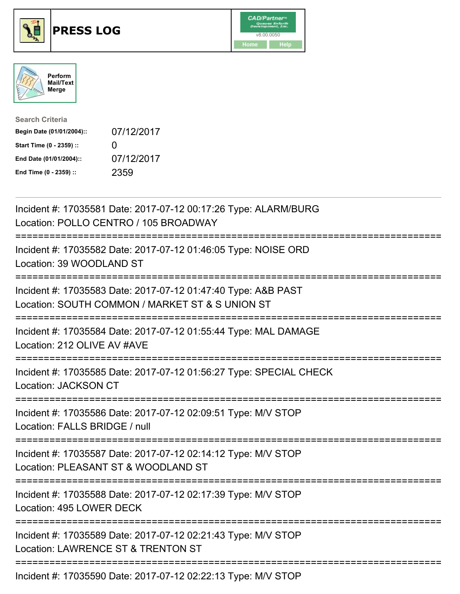





| <b>Search Criteria</b>    |                   |
|---------------------------|-------------------|
| Begin Date (01/01/2004):: | 07/12/2017        |
| Start Time (0 - 2359) ::  | $\mathbf{\Omega}$ |
| End Date (01/01/2004)::   | 07/12/2017        |
| End Time (0 - 2359) ::    | 2359              |

| Incident #: 17035581 Date: 2017-07-12 00:17:26 Type: ALARM/BURG<br>Location: POLLO CENTRO / 105 BROADWAY               |
|------------------------------------------------------------------------------------------------------------------------|
| Incident #: 17035582 Date: 2017-07-12 01:46:05 Type: NOISE ORD<br>Location: 39 WOODLAND ST                             |
| Incident #: 17035583 Date: 2017-07-12 01:47:40 Type: A&B PAST<br>Location: SOUTH COMMON / MARKET ST & S UNION ST       |
| Incident #: 17035584 Date: 2017-07-12 01:55:44 Type: MAL DAMAGE<br>Location: 212 OLIVE AV #AVE                         |
| Incident #: 17035585 Date: 2017-07-12 01:56:27 Type: SPECIAL CHECK<br>Location: JACKSON CT                             |
| Incident #: 17035586 Date: 2017-07-12 02:09:51 Type: M/V STOP<br>Location: FALLS BRIDGE / null<br>------------         |
| Incident #: 17035587 Date: 2017-07-12 02:14:12 Type: M/V STOP<br>Location: PLEASANT ST & WOODLAND ST                   |
| Incident #: 17035588 Date: 2017-07-12 02:17:39 Type: M/V STOP<br>Location: 495 LOWER DECK                              |
| ===============<br>Incident #: 17035589 Date: 2017-07-12 02:21:43 Type: M/V STOP<br>Location: LAWRENCE ST & TRENTON ST |
| Incident #: 17035590 Date: 2017-07-12 02:22:13 Type: M/V STOP                                                          |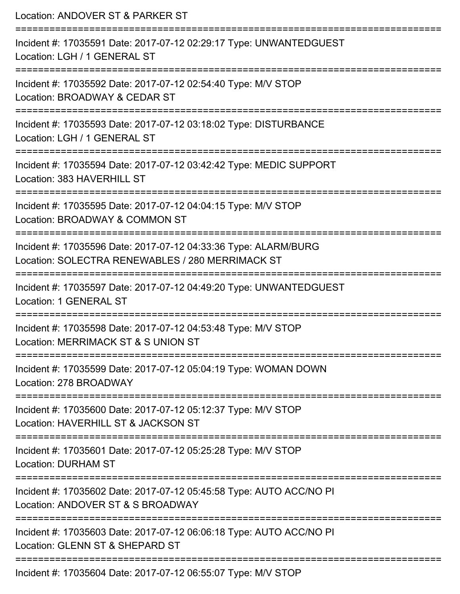| Location: ANDOVER ST & PARKER ST                                                                                    |
|---------------------------------------------------------------------------------------------------------------------|
| Incident #: 17035591 Date: 2017-07-12 02:29:17 Type: UNWANTEDGUEST<br>Location: LGH / 1 GENERAL ST                  |
| Incident #: 17035592 Date: 2017-07-12 02:54:40 Type: M/V STOP<br>Location: BROADWAY & CEDAR ST                      |
| Incident #: 17035593 Date: 2017-07-12 03:18:02 Type: DISTURBANCE<br>Location: LGH / 1 GENERAL ST                    |
| Incident #: 17035594 Date: 2017-07-12 03:42:42 Type: MEDIC SUPPORT<br>Location: 383 HAVERHILL ST                    |
| Incident #: 17035595 Date: 2017-07-12 04:04:15 Type: M/V STOP<br>Location: BROADWAY & COMMON ST                     |
| Incident #: 17035596 Date: 2017-07-12 04:33:36 Type: ALARM/BURG<br>Location: SOLECTRA RENEWABLES / 280 MERRIMACK ST |
| Incident #: 17035597 Date: 2017-07-12 04:49:20 Type: UNWANTEDGUEST<br><b>Location: 1 GENERAL ST</b>                 |
| Incident #: 17035598 Date: 2017-07-12 04:53:48 Type: M/V STOP<br>Location: MERRIMACK ST & S UNION ST                |
| Incident #: 17035599 Date: 2017-07-12 05:04:19 Type: WOMAN DOWN<br>Location: 278 BROADWAY                           |
| Incident #: 17035600 Date: 2017-07-12 05:12:37 Type: M/V STOP<br>Location: HAVERHILL ST & JACKSON ST                |
| Incident #: 17035601 Date: 2017-07-12 05:25:28 Type: M/V STOP<br><b>Location: DURHAM ST</b>                         |
| Incident #: 17035602 Date: 2017-07-12 05:45:58 Type: AUTO ACC/NO PI<br>Location: ANDOVER ST & S BROADWAY            |
| Incident #: 17035603 Date: 2017-07-12 06:06:18 Type: AUTO ACC/NO PI<br>Location: GLENN ST & SHEPARD ST              |
| Incident #: 17035604 Date: 2017-07-12 06:55:07 Type: M/V STOP                                                       |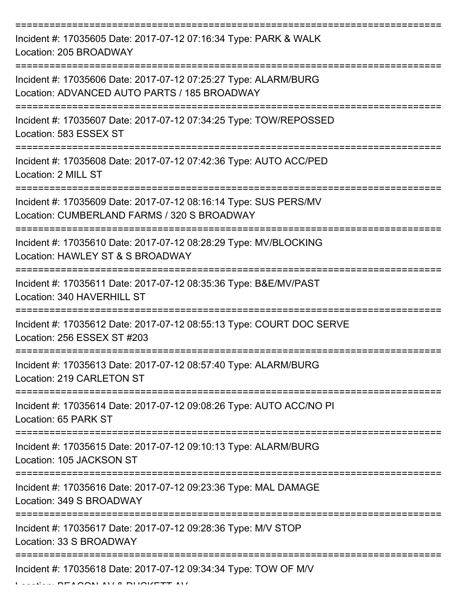| Incident #: 17035605 Date: 2017-07-12 07:16:34 Type: PARK & WALK<br>Location: 205 BROADWAY                      |
|-----------------------------------------------------------------------------------------------------------------|
| Incident #: 17035606 Date: 2017-07-12 07:25:27 Type: ALARM/BURG<br>Location: ADVANCED AUTO PARTS / 185 BROADWAY |
| Incident #: 17035607 Date: 2017-07-12 07:34:25 Type: TOW/REPOSSED<br>Location: 583 ESSEX ST                     |
| Incident #: 17035608 Date: 2017-07-12 07:42:36 Type: AUTO ACC/PED<br>Location: 2 MILL ST                        |
| Incident #: 17035609 Date: 2017-07-12 08:16:14 Type: SUS PERS/MV<br>Location: CUMBERLAND FARMS / 320 S BROADWAY |
| Incident #: 17035610 Date: 2017-07-12 08:28:29 Type: MV/BLOCKING<br>Location: HAWLEY ST & S BROADWAY            |
| Incident #: 17035611 Date: 2017-07-12 08:35:36 Type: B&E/MV/PAST<br>Location: 340 HAVERHILL ST                  |
| Incident #: 17035612 Date: 2017-07-12 08:55:13 Type: COURT DOC SERVE<br>Location: 256 ESSEX ST #203             |
| Incident #: 17035613 Date: 2017-07-12 08:57:40 Type: ALARM/BURG<br>Location: 219 CARLETON ST                    |
| Incident #: 17035614 Date: 2017-07-12 09:08:26 Type: AUTO ACC/NO PI<br>Location: 65 PARK ST                     |
| Incident #: 17035615 Date: 2017-07-12 09:10:13 Type: ALARM/BURG<br>Location: 105 JACKSON ST                     |
| Incident #: 17035616 Date: 2017-07-12 09:23:36 Type: MAL DAMAGE<br>Location: 349 S BROADWAY                     |
| Incident #: 17035617 Date: 2017-07-12 09:28:36 Type: M/V STOP<br>Location: 33 S BROADWAY                        |
| Incident #: 17035618 Date: 2017-07-12 09:34:34 Type: TOW OF M/V                                                 |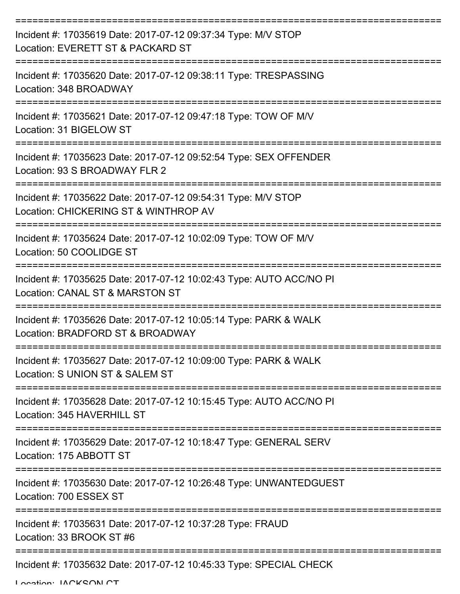| Incident #: 17035619 Date: 2017-07-12 09:37:34 Type: M/V STOP<br>Location: EVERETT ST & PACKARD ST     |
|--------------------------------------------------------------------------------------------------------|
| Incident #: 17035620 Date: 2017-07-12 09:38:11 Type: TRESPASSING<br>Location: 348 BROADWAY             |
| Incident #: 17035621 Date: 2017-07-12 09:47:18 Type: TOW OF M/V<br>Location: 31 BIGELOW ST             |
| Incident #: 17035623 Date: 2017-07-12 09:52:54 Type: SEX OFFENDER<br>Location: 93 S BROADWAY FLR 2     |
| Incident #: 17035622 Date: 2017-07-12 09:54:31 Type: M/V STOP<br>Location: CHICKERING ST & WINTHROP AV |
| Incident #: 17035624 Date: 2017-07-12 10:02:09 Type: TOW OF M/V<br>Location: 50 COOLIDGE ST            |
| Incident #: 17035625 Date: 2017-07-12 10:02:43 Type: AUTO ACC/NO PI<br>Location: CANAL ST & MARSTON ST |
| Incident #: 17035626 Date: 2017-07-12 10:05:14 Type: PARK & WALK<br>Location: BRADFORD ST & BROADWAY   |
| Incident #: 17035627 Date: 2017-07-12 10:09:00 Type: PARK & WALK<br>Location: S UNION ST & SALEM ST    |
| Incident #: 17035628 Date: 2017-07-12 10:15:45 Type: AUTO ACC/NO PI<br>Location: 345 HAVERHILL ST      |
| Incident #: 17035629 Date: 2017-07-12 10:18:47 Type: GENERAL SERV<br>Location: 175 ABBOTT ST           |
| Incident #: 17035630 Date: 2017-07-12 10:26:48 Type: UNWANTEDGUEST<br>Location: 700 ESSEX ST           |
| Incident #: 17035631 Date: 2017-07-12 10:37:28 Type: FRAUD<br>Location: 33 BROOK ST #6                 |
| Incident #: 17035632 Date: 2017-07-12 10:45:33 Type: SPECIAL CHECK                                     |

Location: JACKSON CT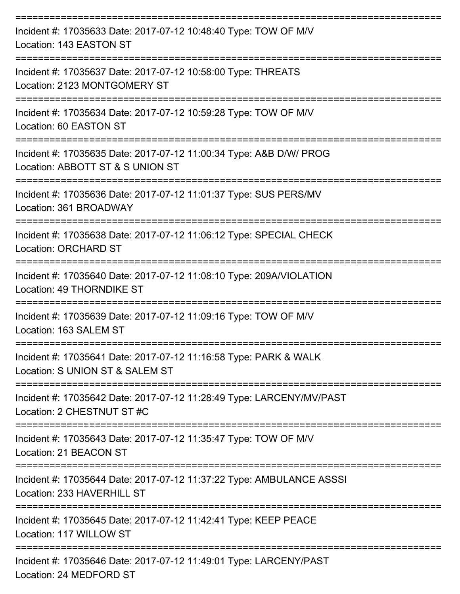| Incident #: 17035633 Date: 2017-07-12 10:48:40 Type: TOW OF M/V<br>Location: 143 EASTON ST             |
|--------------------------------------------------------------------------------------------------------|
| Incident #: 17035637 Date: 2017-07-12 10:58:00 Type: THREATS<br>Location: 2123 MONTGOMERY ST           |
| Incident #: 17035634 Date: 2017-07-12 10:59:28 Type: TOW OF M/V<br>Location: 60 EASTON ST              |
| Incident #: 17035635 Date: 2017-07-12 11:00:34 Type: A&B D/W/ PROG<br>Location: ABBOTT ST & S UNION ST |
| Incident #: 17035636 Date: 2017-07-12 11:01:37 Type: SUS PERS/MV<br>Location: 361 BROADWAY             |
| Incident #: 17035638 Date: 2017-07-12 11:06:12 Type: SPECIAL CHECK<br><b>Location: ORCHARD ST</b>      |
| Incident #: 17035640 Date: 2017-07-12 11:08:10 Type: 209A/VIOLATION<br>Location: 49 THORNDIKE ST       |
| Incident #: 17035639 Date: 2017-07-12 11:09:16 Type: TOW OF M/V<br>Location: 163 SALEM ST              |
| Incident #: 17035641 Date: 2017-07-12 11:16:58 Type: PARK & WALK<br>Location: S UNION ST & SALEM ST    |
| Incident #: 17035642 Date: 2017-07-12 11:28:49 Type: LARCENY/MV/PAST<br>Location: 2 CHESTNUT ST #C     |
| Incident #: 17035643 Date: 2017-07-12 11:35:47 Type: TOW OF M/V<br>Location: 21 BEACON ST              |
| Incident #: 17035644 Date: 2017-07-12 11:37:22 Type: AMBULANCE ASSSI<br>Location: 233 HAVERHILL ST     |
| Incident #: 17035645 Date: 2017-07-12 11:42:41 Type: KEEP PEACE<br>Location: 117 WILLOW ST             |
| Incident #: 17035646 Date: 2017-07-12 11:49:01 Type: LARCENY/PAST<br>Location: 24 MEDFORD ST           |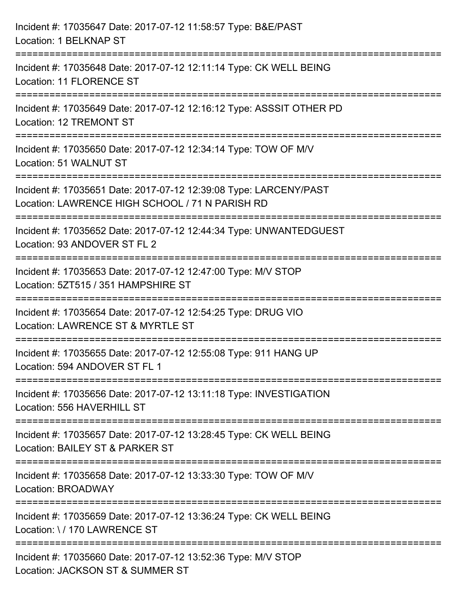| Incident #: 17035647 Date: 2017-07-12 11:58:57 Type: B&E/PAST<br>Location: 1 BELKNAP ST                                                        |
|------------------------------------------------------------------------------------------------------------------------------------------------|
| =====================================<br>Incident #: 17035648 Date: 2017-07-12 12:11:14 Type: CK WELL BEING<br><b>Location: 11 FLORENCE ST</b> |
| --------------<br>Incident #: 17035649 Date: 2017-07-12 12:16:12 Type: ASSSIT OTHER PD<br>Location: 12 TREMONT ST                              |
| Incident #: 17035650 Date: 2017-07-12 12:34:14 Type: TOW OF M/V<br>Location: 51 WALNUT ST                                                      |
| Incident #: 17035651 Date: 2017-07-12 12:39:08 Type: LARCENY/PAST<br>Location: LAWRENCE HIGH SCHOOL / 71 N PARISH RD                           |
| Incident #: 17035652 Date: 2017-07-12 12:44:34 Type: UNWANTEDGUEST<br>Location: 93 ANDOVER ST FL 2                                             |
| Incident #: 17035653 Date: 2017-07-12 12:47:00 Type: M/V STOP<br>Location: 5ZT515 / 351 HAMPSHIRE ST                                           |
| Incident #: 17035654 Date: 2017-07-12 12:54:25 Type: DRUG VIO<br>Location: LAWRENCE ST & MYRTLE ST                                             |
| Incident #: 17035655 Date: 2017-07-12 12:55:08 Type: 911 HANG UP<br>Location: 594 ANDOVER ST FL 1                                              |
| Incident #: 17035656 Date: 2017-07-12 13:11:18 Type: INVESTIGATION<br>Location: 556 HAVERHILL ST                                               |
| Incident #: 17035657 Date: 2017-07-12 13:28:45 Type: CK WELL BEING<br>Location: BAILEY ST & PARKER ST                                          |
| Incident #: 17035658 Date: 2017-07-12 13:33:30 Type: TOW OF M/V<br>Location: BROADWAY                                                          |
| Incident #: 17035659 Date: 2017-07-12 13:36:24 Type: CK WELL BEING<br>Location: \/170 LAWRENCE ST                                              |
| Incident #: 17035660 Date: 2017-07-12 13:52:36 Type: M/V STOP<br>Location: JACKSON ST & SUMMER ST                                              |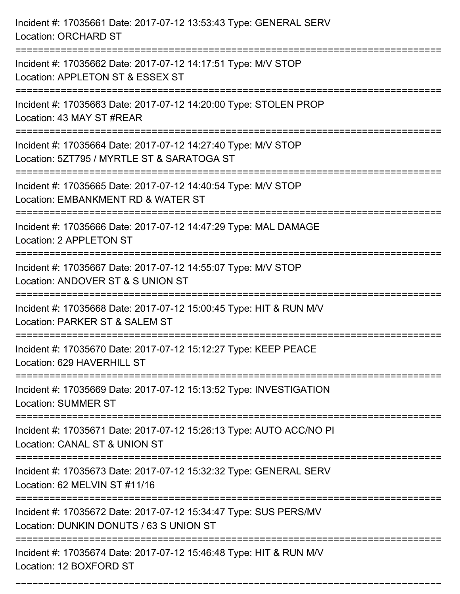| Incident #: 17035661 Date: 2017-07-12 13:53:43 Type: GENERAL SERV<br>Location: ORCHARD ST                                    |
|------------------------------------------------------------------------------------------------------------------------------|
| Incident #: 17035662 Date: 2017-07-12 14:17:51 Type: M/V STOP<br>Location: APPLETON ST & ESSEX ST                            |
| Incident #: 17035663 Date: 2017-07-12 14:20:00 Type: STOLEN PROP<br>Location: 43 MAY ST #REAR                                |
| Incident #: 17035664 Date: 2017-07-12 14:27:40 Type: M/V STOP<br>Location: 5ZT795 / MYRTLE ST & SARATOGA ST                  |
| Incident #: 17035665 Date: 2017-07-12 14:40:54 Type: M/V STOP<br>Location: EMBANKMENT RD & WATER ST<br>:==================== |
| Incident #: 17035666 Date: 2017-07-12 14:47:29 Type: MAL DAMAGE<br>Location: 2 APPLETON ST                                   |
| Incident #: 17035667 Date: 2017-07-12 14:55:07 Type: M/V STOP<br>Location: ANDOVER ST & S UNION ST                           |
| Incident #: 17035668 Date: 2017-07-12 15:00:45 Type: HIT & RUN M/V<br>Location: PARKER ST & SALEM ST                         |
| Incident #: 17035670 Date: 2017-07-12 15:12:27 Type: KEEP PEACE<br>Location: 629 HAVERHILL ST                                |
| Incident #: 17035669 Date: 2017-07-12 15:13:52 Type: INVESTIGATION<br><b>Location: SUMMER ST</b>                             |
| Incident #: 17035671 Date: 2017-07-12 15:26:13 Type: AUTO ACC/NO PI<br>Location: CANAL ST & UNION ST                         |
| Incident #: 17035673 Date: 2017-07-12 15:32:32 Type: GENERAL SERV<br>Location: 62 MELVIN ST #11/16                           |
| Incident #: 17035672 Date: 2017-07-12 15:34:47 Type: SUS PERS/MV<br>Location: DUNKIN DONUTS / 63 S UNION ST                  |
| Incident #: 17035674 Date: 2017-07-12 15:46:48 Type: HIT & RUN M/V<br>Location: 12 BOXFORD ST                                |

===========================================================================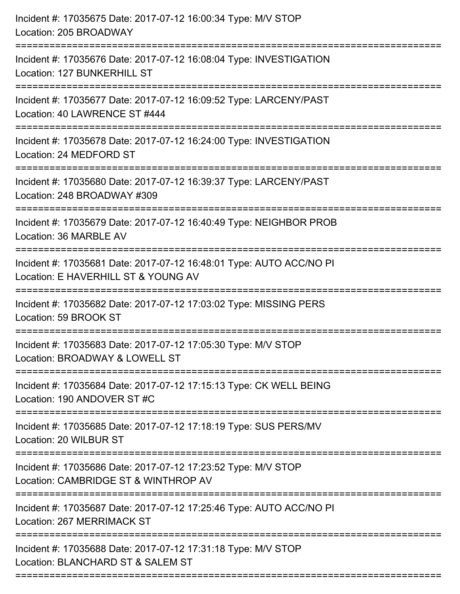| Incident #: 17035675 Date: 2017-07-12 16:00:34 Type: M/V STOP<br>Location: 205 BROADWAY                                                                                 |
|-------------------------------------------------------------------------------------------------------------------------------------------------------------------------|
| Incident #: 17035676 Date: 2017-07-12 16:08:04 Type: INVESTIGATION<br>Location: 127 BUNKERHILL ST                                                                       |
| Incident #: 17035677 Date: 2017-07-12 16:09:52 Type: LARCENY/PAST<br>Location: 40 LAWRENCE ST #444<br>========================                                          |
| Incident #: 17035678 Date: 2017-07-12 16:24:00 Type: INVESTIGATION<br>Location: 24 MEDFORD ST                                                                           |
| Incident #: 17035680 Date: 2017-07-12 16:39:37 Type: LARCENY/PAST<br>Location: 248 BROADWAY #309<br>====================================<br>=========================== |
| Incident #: 17035679 Date: 2017-07-12 16:40:49 Type: NEIGHBOR PROB<br>Location: 36 MARBLE AV                                                                            |
| Incident #: 17035681 Date: 2017-07-12 16:48:01 Type: AUTO ACC/NO PI<br>Location: E HAVERHILL ST & YOUNG AV<br>:====================                                     |
| Incident #: 17035682 Date: 2017-07-12 17:03:02 Type: MISSING PERS<br>Location: 59 BROOK ST                                                                              |
| Incident #: 17035683 Date: 2017-07-12 17:05:30 Type: M/V STOP<br>Location: BROADWAY & LOWELL ST                                                                         |
| Incident #: 17035684 Date: 2017-07-12 17:15:13 Type: CK WELL BEING<br>Location: 190 ANDOVER ST #C                                                                       |
| Incident #: 17035685 Date: 2017-07-12 17:18:19 Type: SUS PERS/MV<br>Location: 20 WILBUR ST                                                                              |
| Incident #: 17035686 Date: 2017-07-12 17:23:52 Type: M/V STOP<br>Location: CAMBRIDGE ST & WINTHROP AV                                                                   |
| Incident #: 17035687 Date: 2017-07-12 17:25:46 Type: AUTO ACC/NO PI<br>Location: 267 MERRIMACK ST                                                                       |
| Incident #: 17035688 Date: 2017-07-12 17:31:18 Type: M/V STOP<br>Location: BLANCHARD ST & SALEM ST                                                                      |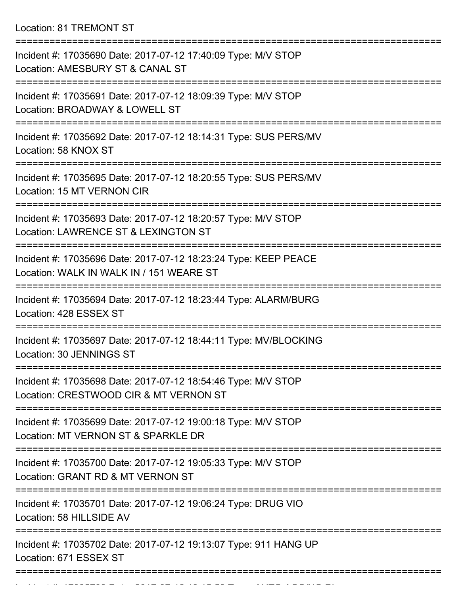Location: 81 TREMONT ST

| Incident #: 17035690 Date: 2017-07-12 17:40:09 Type: M/V STOP<br>Location: AMESBURY ST & CANAL ST           |
|-------------------------------------------------------------------------------------------------------------|
| Incident #: 17035691 Date: 2017-07-12 18:09:39 Type: M/V STOP<br>Location: BROADWAY & LOWELL ST             |
| Incident #: 17035692 Date: 2017-07-12 18:14:31 Type: SUS PERS/MV<br>Location: 58 KNOX ST                    |
| Incident #: 17035695 Date: 2017-07-12 18:20:55 Type: SUS PERS/MV<br>Location: 15 MT VERNON CIR              |
| Incident #: 17035693 Date: 2017-07-12 18:20:57 Type: M/V STOP<br>Location: LAWRENCE ST & LEXINGTON ST       |
| Incident #: 17035696 Date: 2017-07-12 18:23:24 Type: KEEP PEACE<br>Location: WALK IN WALK IN / 151 WEARE ST |
| Incident #: 17035694 Date: 2017-07-12 18:23:44 Type: ALARM/BURG<br>Location: 428 ESSEX ST                   |
| Incident #: 17035697 Date: 2017-07-12 18:44:11 Type: MV/BLOCKING<br>Location: 30 JENNINGS ST                |
| Incident #: 17035698 Date: 2017-07-12 18:54:46 Type: M/V STOP<br>Location: CRESTWOOD CIR & MT VERNON ST     |
| Incident #: 17035699 Date: 2017-07-12 19:00:18 Type: M/V STOP<br>Location: MT VERNON ST & SPARKLE DR        |
| Incident #: 17035700 Date: 2017-07-12 19:05:33 Type: M/V STOP<br>Location: GRANT RD & MT VERNON ST          |
| Incident #: 17035701 Date: 2017-07-12 19:06:24 Type: DRUG VIO<br>Location: 58 HILLSIDE AV                   |
| Incident #: 17035702 Date: 2017-07-12 19:13:07 Type: 911 HANG UP<br>Location: 671 ESSEX ST                  |
|                                                                                                             |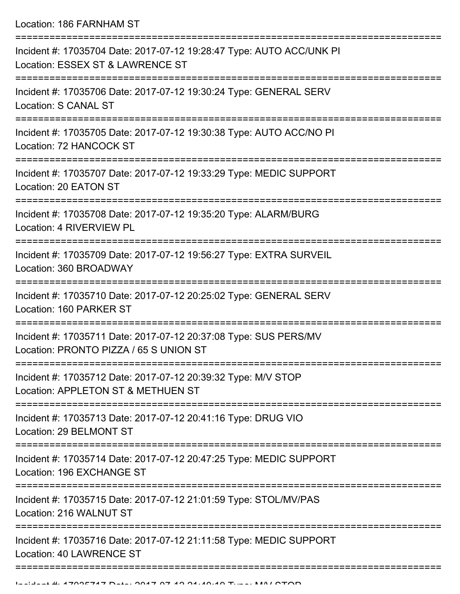Location: 186 FARNHAM ST

| Incident #: 17035704 Date: 2017-07-12 19:28:47 Type: AUTO ACC/UNK PI<br>Location: ESSEX ST & LAWRENCE ST          |
|-------------------------------------------------------------------------------------------------------------------|
| Incident #: 17035706 Date: 2017-07-12 19:30:24 Type: GENERAL SERV<br>Location: S CANAL ST                         |
| Incident #: 17035705 Date: 2017-07-12 19:30:38 Type: AUTO ACC/NO PI<br>Location: 72 HANCOCK ST                    |
| Incident #: 17035707 Date: 2017-07-12 19:33:29 Type: MEDIC SUPPORT<br>Location: 20 EATON ST<br>------------------ |
| Incident #: 17035708 Date: 2017-07-12 19:35:20 Type: ALARM/BURG<br>Location: 4 RIVERVIEW PL                       |
| Incident #: 17035709 Date: 2017-07-12 19:56:27 Type: EXTRA SURVEIL<br>Location: 360 BROADWAY                      |
| Incident #: 17035710 Date: 2017-07-12 20:25:02 Type: GENERAL SERV<br>Location: 160 PARKER ST                      |
| Incident #: 17035711 Date: 2017-07-12 20:37:08 Type: SUS PERS/MV<br>Location: PRONTO PIZZA / 65 S UNION ST        |
| Incident #: 17035712 Date: 2017-07-12 20:39:32 Type: M/V STOP<br>Location: APPLETON ST & METHUEN ST               |
| Incident #: 17035713 Date: 2017-07-12 20:41:16 Type: DRUG VIO<br>Location: 29 BELMONT ST                          |
| Incident #: 17035714 Date: 2017-07-12 20:47:25 Type: MEDIC SUPPORT<br>Location: 196 EXCHANGE ST                   |
| Incident #: 17035715 Date: 2017-07-12 21:01:59 Type: STOL/MV/PAS<br>Location: 216 WALNUT ST                       |
| Incident #: 17035716 Date: 2017-07-12 21:11:58 Type: MEDIC SUPPORT<br>Location: 40 LAWRENCE ST                    |
|                                                                                                                   |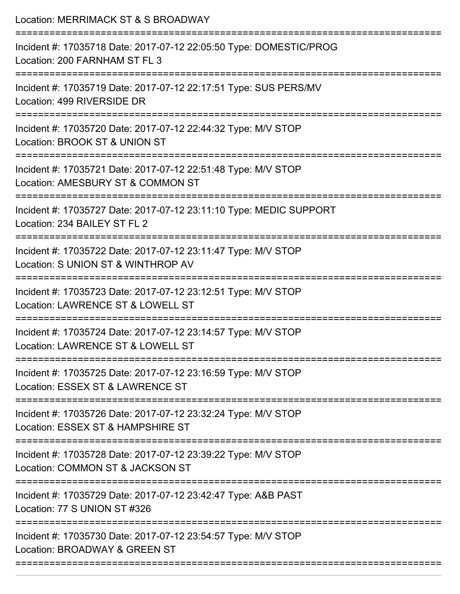| Location: MERRIMACK ST & S BROADWAY                                                                                       |
|---------------------------------------------------------------------------------------------------------------------------|
| Incident #: 17035718 Date: 2017-07-12 22:05:50 Type: DOMESTIC/PROG<br>Location: 200 FARNHAM ST FL 3                       |
| Incident #: 17035719 Date: 2017-07-12 22:17:51 Type: SUS PERS/MV<br>Location: 499 RIVERSIDE DR                            |
| Incident #: 17035720 Date: 2017-07-12 22:44:32 Type: M/V STOP<br>Location: BROOK ST & UNION ST                            |
| Incident #: 17035721 Date: 2017-07-12 22:51:48 Type: M/V STOP<br>Location: AMESBURY ST & COMMON ST<br>=================== |
| Incident #: 17035727 Date: 2017-07-12 23:11:10 Type: MEDIC SUPPORT<br>Location: 234 BAILEY ST FL 2                        |
| Incident #: 17035722 Date: 2017-07-12 23:11:47 Type: M/V STOP<br>Location: S UNION ST & WINTHROP AV                       |
| Incident #: 17035723 Date: 2017-07-12 23:12:51 Type: M/V STOP<br>Location: LAWRENCE ST & LOWELL ST                        |
| Incident #: 17035724 Date: 2017-07-12 23:14:57 Type: M/V STOP<br>Location: LAWRENCE ST & LOWELL ST                        |
| Incident #: 17035725 Date: 2017-07-12 23:16:59 Type: M/V STOP<br>Location: ESSEX ST & LAWRENCE ST                         |
| Incident #: 17035726 Date: 2017-07-12 23:32:24 Type: M/V STOP<br>Location: ESSEX ST & HAMPSHIRE ST                        |
| Incident #: 17035728 Date: 2017-07-12 23:39:22 Type: M/V STOP<br>Location: COMMON ST & JACKSON ST                         |
| Incident #: 17035729 Date: 2017-07-12 23:42:47 Type: A&B PAST<br>Location: 77 S UNION ST #326                             |
| Incident #: 17035730 Date: 2017-07-12 23:54:57 Type: M/V STOP<br>Location: BROADWAY & GREEN ST                            |
|                                                                                                                           |